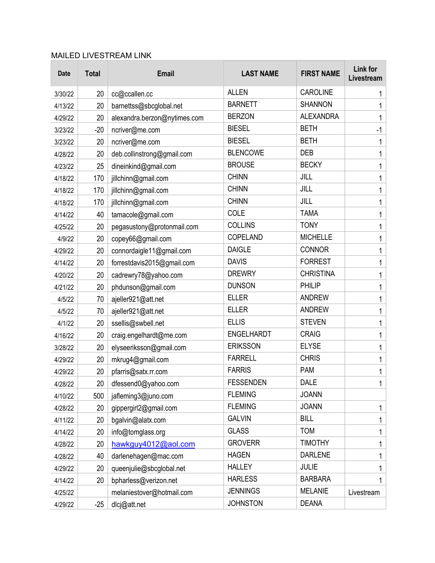## MAILED LIVESTREAM LINK

| <b>Date</b> | <b>Total</b> | <b>Email</b>                 | <b>LAST NAME</b> | <b>FIRST NAME</b> | <b>Link for</b><br>Livestream |
|-------------|--------------|------------------------------|------------------|-------------------|-------------------------------|
| 3/30/22     | 20           | cc@ccallen.cc                | <b>ALLEN</b>     | <b>CAROLINE</b>   | 1                             |
| 4/13/22     | 20           | barnettss@sbcglobal.net      | <b>BARNETT</b>   | <b>SHANNON</b>    | 1                             |
| 4/29/22     | 20           | alexandra.berzon@nytimes.com | <b>BERZON</b>    | <b>ALEXANDRA</b>  | 1                             |
| 3/23/22     | $-20$        | ncriver@me.com               | <b>BIESEL</b>    | <b>BETH</b>       | $-1$                          |
| 3/23/22     | 20           | ncriver@me.com               | <b>BIESEL</b>    | <b>BETH</b>       | 1                             |
| 4/28/22     | 20           | deb.collinstrong@gmail.com   | <b>BLENCOWE</b>  | <b>DEB</b>        | 1                             |
| 4/23/22     | 25           | dineinkind@gmail.com         | <b>BROUSE</b>    | <b>BECKY</b>      | 1                             |
| 4/18/22     | 170          | jillchinn@gmail.com          | <b>CHINN</b>     | JILL              | 1                             |
| 4/18/22     | 170          | jillchinn@gmail.com          | <b>CHINN</b>     | JILL              | 1                             |
| 4/18/22     | 170          | jillchinn@gmail.com          | <b>CHINN</b>     | JILL              | 1                             |
| 4/14/22     | 40           | tamacole@gmail.com           | COLE             | <b>TAMA</b>       | 1                             |
| 4/25/22     | 20           | pegasustony@protonmail.com   | <b>COLLINS</b>   | <b>TONY</b>       | 1                             |
| 4/9/22      | 20           | copey66@gmail.com            | COPELAND         | <b>MICHELLE</b>   | 1                             |
| 4/29/22     | 20           | connordaigle11@gmail.com     | <b>DAIGLE</b>    | <b>CONNOR</b>     | 1                             |
| 4/14/22     | 20           | forrestdavis2015@gmail.com   | <b>DAVIS</b>     | <b>FORREST</b>    | 1                             |
| 4/20/22     | 20           | cadrewry78@yahoo.com         | <b>DREWRY</b>    | <b>CHRISTINA</b>  | 1                             |
| 4/21/22     | 20           | phdunson@gmail.com           | <b>DUNSON</b>    | PHILIP            | 1                             |
| 4/5/22      | 70           | ajeller921@att.net           | <b>ELLER</b>     | <b>ANDREW</b>     | 1                             |
| 4/5/22      | 70           | ajeller921@att.net           | <b>ELLER</b>     | <b>ANDREW</b>     | 1                             |
| 4/1/22      | 20           | ssellis@swbell.net           | <b>ELLIS</b>     | <b>STEVEN</b>     | 1                             |
| 4/16/22     | 20           | craig.engelhardt@me.com      | ENGELHARDT       | <b>CRAIG</b>      | 1                             |
| 3/28/22     | 20           | elyseeriksson@gmail.com      | <b>ERIKSSON</b>  | <b>ELYSE</b>      | 1                             |
| 4/29/22     | 20           | mkrug4@gmail.com             | <b>FARRELL</b>   | <b>CHRIS</b>      | 1                             |
| 4/29/22     | 20           | pfarris@satx.rr.com          | <b>FARRIS</b>    | <b>PAM</b>        | 1                             |
| 4/28/22     | 20           | dfessend0@yahoo.com          | <b>FESSENDEN</b> | <b>DALE</b>       | 1                             |
| 4/10/22     | 500          | jafleming3@juno.com          | <b>FLEMING</b>   | <b>JOANN</b>      |                               |
| 4/28/22     | 20           | gippergirl2@gmail.com        | <b>FLEMING</b>   | <b>JOANN</b>      | $\mathbf{1}$                  |
| 4/11/22     | 20           | bgalvin@alatx.com            | <b>GALVIN</b>    | <b>BILL</b>       | 1                             |
| 4/14/22     | 20           | info@tomglass.org            | <b>GLASS</b>     | <b>TOM</b>        | 1                             |
| 4/28/22     | 20           | hawkguy4012@aol.com          | <b>GROVERR</b>   | <b>TIMOTHY</b>    | 1                             |
| 4/28/22     | 40           | darlenehagen@mac.com         | <b>HAGEN</b>     | <b>DARLENE</b>    | 1                             |
| 4/29/22     | 20           | queenjulie@sbcglobal.net     | <b>HALLEY</b>    | <b>JULIE</b>      | 1                             |
| 4/14/22     | 20           | bpharless@verizon.net        | <b>HARLESS</b>   | <b>BARBARA</b>    | 1                             |
| 4/25/22     |              | melaniestover@hotmail.com    | <b>JENNINGS</b>  | <b>MELANIE</b>    | Livestream                    |
| 4/29/22     | $-25$        | dlcj@att.net                 | <b>JOHNSTON</b>  | <b>DEANA</b>      |                               |